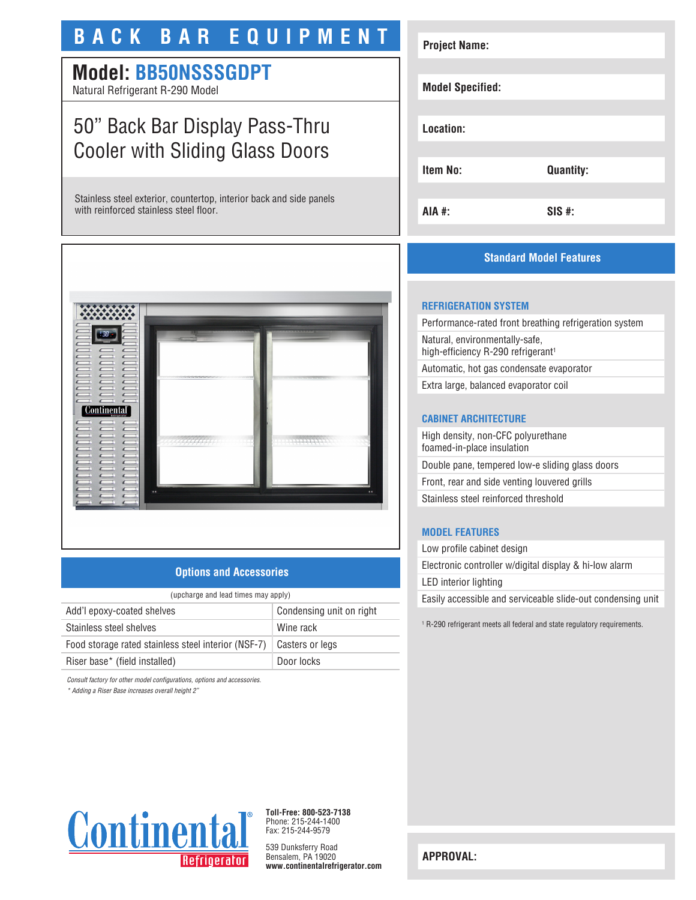# **BACK BAR EQUIPMENT**

# **Model: BB50NSSSGDPT**

Natural Refrigerant R-290 Model

# 50" Back Bar Display Pass-Thru Cooler with Sliding Glass Doors

Stainless steel exterior, countertop, interior back and side panels with reinforced stainless steel floor.



## **Options and Accessories**

| (upcharge and lead times may apply)                 |                          |
|-----------------------------------------------------|--------------------------|
| Add'l epoxy-coated shelves                          | Condensing unit on right |
| Stainless steel shelves                             | Wine rack                |
| Food storage rated stainless steel interior (NSF-7) | Casters or legs          |
| Riser base* (field installed)                       | Door locks               |

*Consult factory for other model configurations, options and accessories.*

*\* Adding a Riser Base increases overall height 2"*

# **Project Name: Model Specified: Location: Item No: Quantity: AIA #: SIS #:**

## **Standard Model Features**

## **REFRIGERATION SYSTEM**

Performance-rated front breathing refrigeration system Natural, environmentally-safe, high-efficiency R-290 refrigerant<sup>1</sup> Automatic, hot gas condensate evaporator

Extra large, balanced evaporator coil

## **CABINET ARCHITECTURE**

High density, non-CFC polyurethane foamed-in-place insulation Double pane, tempered low-e sliding glass doors Front, rear and side venting louvered grills Stainless steel reinforced threshold

#### **MODEL FEATURES**

Low profile cabinet design Electronic controller w/digital display & hi-low alarm LED interior lighting Easily accessible and serviceable slide-out condensing unit

1 R-290 refrigerant meets all federal and state regulatory requirements.



**Toll-Free: 800-523-7138** Phone: 215-244-1400 Fax: 215-244-9579

539 Dunksferry Road Bensalem, PA 19020 **www.continentalrefrigerator.com** 

**APPROVAL:**